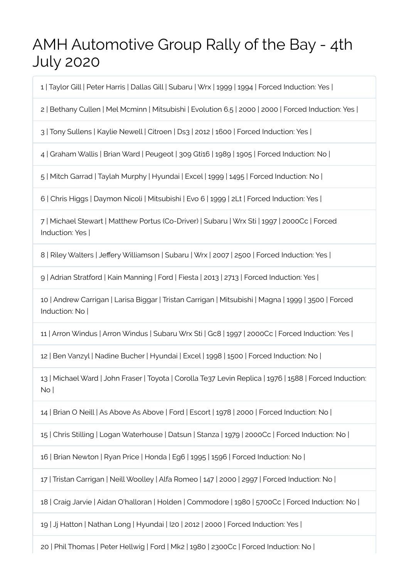## AMH Automotive Group Rally of the Bay - 4th July 2020

1 | Taylor Gill | Peter Harris | Dallas Gill | Subaru | Wrx | 1999 | 1994 | Forced Induction: Yes |

2 | Bethany Cullen | Mel Mcminn | Mitsubishi | Evolution 6.5 | 2000 | 2000 | Forced Induction: Yes |

3 | Tony Sullens | Kaylie Newell | Citroen | Ds3 | 2012 | 1600 | Forced Induction: Yes |

4 | Graham Wallis | Brian Ward | Peugeot | 309 Gti16 | 1989 | 1905 | Forced Induction: No |

5 | Mitch Garrad | Taylah Murphy | Hyundai | Excel | 1999 | 1495 | Forced Induction: No |

6 | Chris Higgs | Daymon Nicoli | Mitsubishi | Evo 6 | 1999 | 2Lt | Forced Induction: Yes |

7 | Michael Stewart | Matthew Portus (Co-Driver) | Subaru | Wrx Sti | 1997 | 2000Cc | Forced Induction: Yes |

8 | Riley Walters | Jeffery Williamson | Subaru | Wrx | 2007 | 2500 | Forced Induction: Yes |

9 | Adrian Stratford | Kain Manning | Ford | Fiesta | 2013 | 2713 | Forced Induction: Yes |

10 | Andrew Carrigan | Larisa Biggar | Tristan Carrigan | Mitsubishi | Magna | 1999 | 3500 | Forced Induction: No |

11 | Arron Windus | Arron Windus | Subaru Wrx Sti | Gc8 | 1997 | 2000Cc | Forced Induction: Yes |

12 | Ben Vanzyl | Nadine Bucher | Hyundai | Excel | 1998 | 1500 | Forced Induction: No |

13 | Michael Ward | John Fraser | Toyota | Corolla Te37 Levin Replica | 1976 | 1588 | Forced Induction: No |

14 | Brian O Neill | As Above As Above | Ford | Escort | 1978 | 2000 | Forced Induction: No |

15 | Chris Stilling | Logan Waterhouse | Datsun | Stanza | 1979 | 2000Cc | Forced Induction: No |

16 | Brian Newton | Ryan Price | Honda | Eg6 | 1995 | 1596 | Forced Induction: No |

17 | Tristan Carrigan | Neill Woolley | Alfa Romeo | 147 | 2000 | 2997 | Forced Induction: No |

18 | Craig Jarvie | Aidan O'halloran | Holden | Commodore | 1980 | 5700Cc | Forced Induction: No |

19 | Jj Hatton | Nathan Long | Hyundai | I20 | 2012 | 2000 | Forced Induction: Yes |

20 | Phil Thomas | Peter Hellwig | Ford | Mk2 | 1980 | 2300Cc | Forced Induction: No |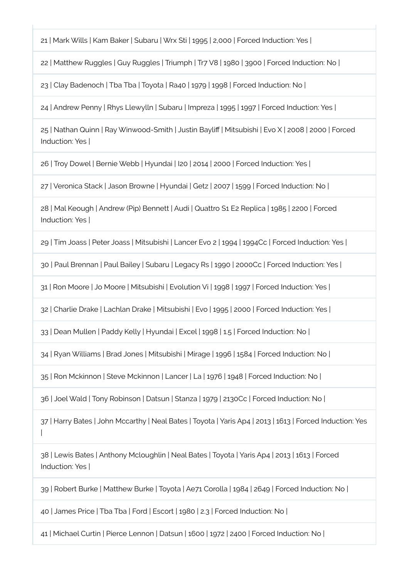21 | Mark Wills | Kam Baker | Subaru | Wrx Sti | 1995 | 2,000 | Forced Induction: Yes |

22 | Matthew Ruggles | Guy Ruggles | Triumph | Tr7 V8 | 1980 | 3900 | Forced Induction: No |

23 | Clay Badenoch | Tba Tba | Toyota | Ra40 | 1979 | 1998 | Forced Induction: No |

24 | Andrew Penny | Rhys Llewylln | Subaru | Impreza | 1995 | 1997 | Forced Induction: Yes |

25 | Nathan Quinn | Ray Winwood-Smith | Justin Bayliff | Mitsubishi | Evo X | 2008 | 2000 | Forced Induction: Yes |

26 | Troy Dowel | Bernie Webb | Hyundai | I20 | 2014 | 2000 | Forced Induction: Yes |

27 | Veronica Stack | Jason Browne | Hyundai | Getz | 2007 | 1599 | Forced Induction: No |

28 | Mal Keough | Andrew (Pip) Bennett | Audi | Quattro S1 E2 Replica | 1985 | 2200 | Forced Induction: Yes |

29 | Tim Joass | Peter Joass | Mitsubishi | Lancer Evo 2 | 1994 | 1994Cc | Forced Induction: Yes |

30 | Paul Brennan | Paul Bailey | Subaru | Legacy Rs | 1990 | 2000Cc | Forced Induction: Yes |

31 | Ron Moore | Jo Moore | Mitsubishi | Evolution Vi | 1998 | 1997 | Forced Induction: Yes |

32 | Charlie Drake | Lachlan Drake | Mitsubishi | Evo | 1995 | 2000 | Forced Induction: Yes |

33 | Dean Mullen | Paddy Kelly | Hyundai | Excel | 1998 | 1.5 | Forced Induction: No |

34 | Ryan Williams | Brad Jones | Mitsubishi | Mirage | 1996 | 1584 | Forced Induction: No |

35 | Ron Mckinnon | Steve Mckinnon | Lancer | La | 1976 | 1948 | Forced Induction: No |

36 | Joel Wald | Tony Robinson | Datsun | Stanza | 1979 | 2130Cc | Forced Induction: No |

37 | Harry Bates | John Mccarthy | Neal Bates | Toyota | Yaris Ap4 | 2013 | 1613 | Forced Induction: Yes |

38 | Lewis Bates | Anthony Mcloughlin | Neal Bates | Toyota | Yaris Ap4 | 2013 | 1613 | Forced Induction: Yes |

39 | Robert Burke | Matthew Burke | Toyota | Ae71 Corolla | 1984 | 2649 | Forced Induction: No |

40 | James Price | Tba Tba | Ford | Escort | 1980 | 2.3 | Forced Induction: No |

41 | Michael Curtin | Pierce Lennon | Datsun | 1600 | 1972 | 2400 | Forced Induction: No |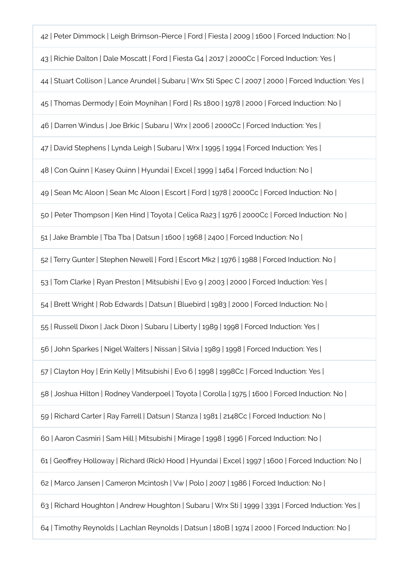42 | Peter Dimmock | Leigh Brimson-Pierce | Ford | Fiesta | 2009 | 1600 | Forced Induction: No | 43 | Richie Dalton | Dale Moscatt | Ford | Fiesta G4 | 2017 | 2000Cc | Forced Induction: Yes | 44 | Stuart Collison | Lance Arundel | Subaru | Wrx Sti Spec C | 2007 | 2000 | Forced Induction: Yes | 45 | Thomas Dermody | Eoin Moynihan | Ford | Rs 1800 | 1978 | 2000 | Forced Induction: No | 46 | Darren Windus | Joe Brkic | Subaru | Wrx | 2006 | 2000Cc | Forced Induction: Yes | 47 | David Stephens | Lynda Leigh | Subaru | Wrx | 1995 | 1994 | Forced Induction: Yes | 48 | Con Quinn | Kasey Quinn | Hyundai | Excel | 1999 | 1464 | Forced Induction: No | 49 | Sean Mc Aloon | Sean Mc Aloon | Escort | Ford | 1978 | 2000Cc | Forced Induction: No | 50 | Peter Thompson | Ken Hind | Toyota | Celica Ra23 | 1976 | 2000Cc | Forced Induction: No | 51 | Jake Bramble | Tba Tba | Datsun | 1600 | 1968 | 2400 | Forced Induction: No | 52 | Terry Gunter | Stephen Newell | Ford | Escort Mk2 | 1976 | 1988 | Forced Induction: No | 53 | Tom Clarke | Ryan Preston | Mitsubishi | Evo 9 | 2003 | 2000 | Forced Induction: Yes | 54 | Brett Wright | Rob Edwards | Datsun | Bluebird | 1983 | 2000 | Forced Induction: No | 55 | Russell Dixon | Jack Dixon | Subaru | Liberty | 1989 | 1998 | Forced Induction: Yes | 56 | John Sparkes | Nigel Walters | Nissan | Silvia | 1989 | 1998 | Forced Induction: Yes | 57 | Clayton Hoy | Erin Kelly | Mitsubishi | Evo 6 | 1998 | 1998Cc | Forced Induction: Yes | 58 | Joshua Hilton | Rodney Vanderpoel | Toyota | Corolla | 1975 | 1600 | Forced Induction: No | 59 | Richard Carter | Ray Farrell | Datsun | Stanza | 1981 | 2148Cc | Forced Induction: No | 60 | Aaron Casmiri | Sam Hill | Mitsubishi | Mirage | 1998 | 1996 | Forced Induction: No | 61 | Geoffrey Holloway | Richard (Rick) Hood | Hyundai | Excel | 1997 | 1600 | Forced Induction: No | 62 | Marco Jansen | Cameron Mcintosh | Vw | Polo | 2007 | 1986 | Forced Induction: No | 63 | Richard Houghton | Andrew Houghton | Subaru | Wrx Sti | 1999 | 3391 | Forced Induction: Yes | 64 | Timothy Reynolds | Lachlan Reynolds | Datsun | 180B | 1974 | 2000 | Forced Induction: No |